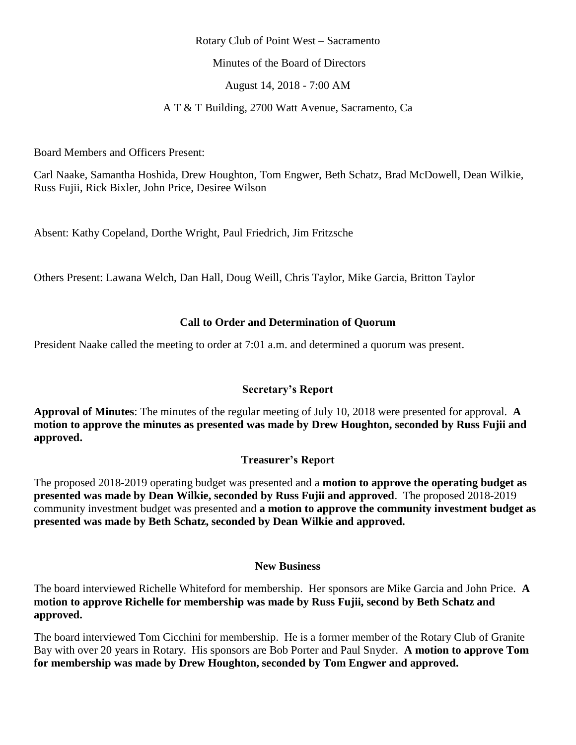### Rotary Club of Point West – Sacramento

Minutes of the Board of Directors

August 14, 2018 - 7:00 AM

### A T & T Building, 2700 Watt Avenue, Sacramento, Ca

Board Members and Officers Present:

Carl Naake, Samantha Hoshida, Drew Houghton, Tom Engwer, Beth Schatz, Brad McDowell, Dean Wilkie, Russ Fujii, Rick Bixler, John Price, Desiree Wilson

Absent: Kathy Copeland, Dorthe Wright, Paul Friedrich, Jim Fritzsche

Others Present: Lawana Welch, Dan Hall, Doug Weill, Chris Taylor, Mike Garcia, Britton Taylor

### **Call to Order and Determination of Quorum**

President Naake called the meeting to order at 7:01 a.m. and determined a quorum was present.

### **Secretary's Report**

**Approval of Minutes**: The minutes of the regular meeting of July 10, 2018 were presented for approval. **A motion to approve the minutes as presented was made by Drew Houghton, seconded by Russ Fujii and approved.**

## **Treasurer's Report**

The proposed 2018-2019 operating budget was presented and a **motion to approve the operating budget as presented was made by Dean Wilkie, seconded by Russ Fujii and approved**. The proposed 2018-2019 community investment budget was presented and **a motion to approve the community investment budget as presented was made by Beth Schatz, seconded by Dean Wilkie and approved.**

#### **New Business**

The board interviewed Richelle Whiteford for membership. Her sponsors are Mike Garcia and John Price. **A motion to approve Richelle for membership was made by Russ Fujii, second by Beth Schatz and approved.** 

The board interviewed Tom Cicchini for membership. He is a former member of the Rotary Club of Granite Bay with over 20 years in Rotary. His sponsors are Bob Porter and Paul Snyder. **A motion to approve Tom for membership was made by Drew Houghton, seconded by Tom Engwer and approved.**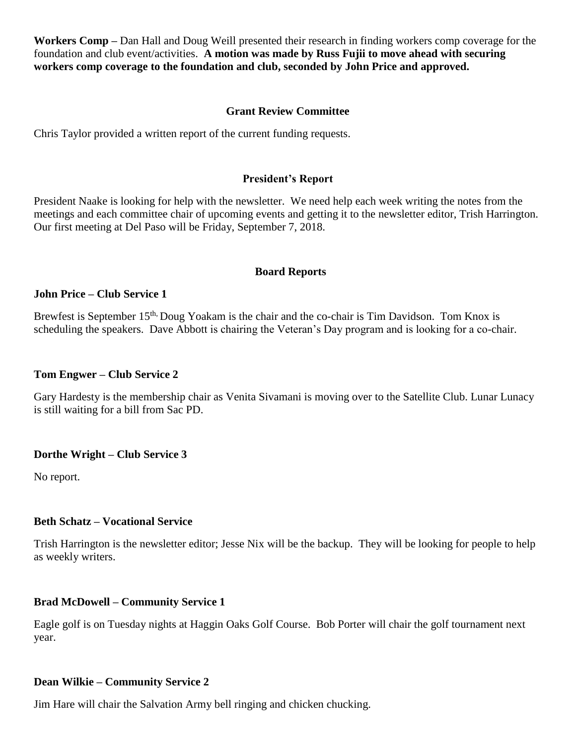**Workers Comp –** Dan Hall and Doug Weill presented their research in finding workers comp coverage for the foundation and club event/activities. **A motion was made by Russ Fujii to move ahead with securing workers comp coverage to the foundation and club, seconded by John Price and approved.** 

### **Grant Review Committee**

Chris Taylor provided a written report of the current funding requests.

### **President's Report**

President Naake is looking for help with the newsletter. We need help each week writing the notes from the meetings and each committee chair of upcoming events and getting it to the newsletter editor, Trish Harrington. Our first meeting at Del Paso will be Friday, September 7, 2018.

#### **Board Reports**

#### **John Price – Club Service 1**

Brewfest is September 15<sup>th,</sup> Doug Yoakam is the chair and the co-chair is Tim Davidson. Tom Knox is scheduling the speakers. Dave Abbott is chairing the Veteran's Day program and is looking for a co-chair.

#### **Tom Engwer – Club Service 2**

Gary Hardesty is the membership chair as Venita Sivamani is moving over to the Satellite Club. Lunar Lunacy is still waiting for a bill from Sac PD.

#### **Dorthe Wright – Club Service 3**

No report.

#### **Beth Schatz – Vocational Service**

Trish Harrington is the newsletter editor; Jesse Nix will be the backup. They will be looking for people to help as weekly writers.

#### **Brad McDowell – Community Service 1**

Eagle golf is on Tuesday nights at Haggin Oaks Golf Course. Bob Porter will chair the golf tournament next year.

### **Dean Wilkie – Community Service 2**

Jim Hare will chair the Salvation Army bell ringing and chicken chucking.